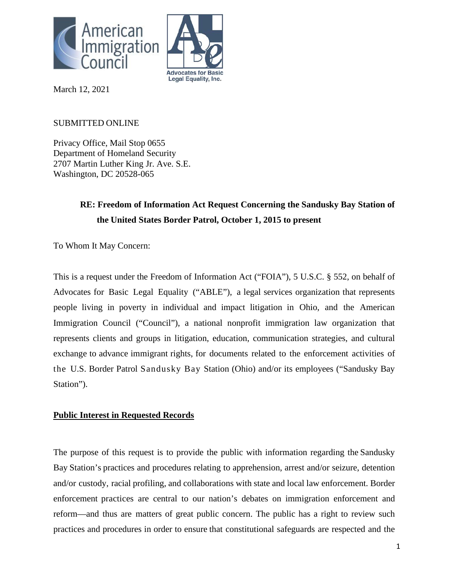



March 12, 2021

SUBMITTED ONLINE

Privacy Office, Mail Stop 0655 Department of Homeland Security 2707 Martin Luther King Jr. Ave. S.E. Washington, DC 20528-065

# **RE: Freedom of Information Act Request Concerning the Sandusky Bay Station of the United States Border Patrol, October 1, 2015 to present**

To Whom It May Concern:

This is a request under the Freedom of Information Act ("FOIA"), 5 U.S.C. § 552, on behalf of Advocates for Basic Legal Equality ("ABLE"), a legal services organization that represents people living in poverty in individual and impact litigation in Ohio, and the American Immigration Council ("Council"), a national nonprofit immigration law organization that represents clients and groups in litigation, education, communication strategies, and cultural exchange to advance immigrant rights, for documents related to the enforcement activities of the U.S. Border Patrol Sandusky Bay Station (Ohio) and/or its employees ("Sandusky Bay Station").

## **Public Interest in Requested Records**

The purpose of this request is to provide the public with information regarding the Sandusky Bay Station's practices and procedures relating to apprehension, arrest and/or seizure, detention and/or custody, racial profiling, and collaborations with state and local law enforcement. Border enforcement practices are central to our nation's debates on immigration enforcement and reform—and thus are matters of great public concern. The public has a right to review such practices and procedures in order to ensure that constitutional safeguards are respected and the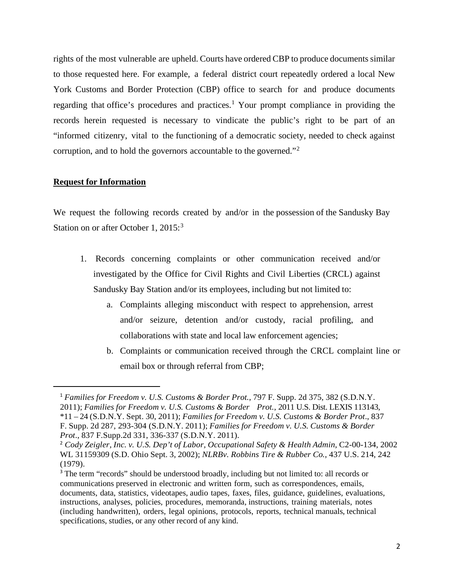rights of the most vulnerable are upheld. Courts have ordered CBP to produce documents similar to those requested here. For example, a federal district court repeatedly ordered a local New York Customs and Border Protection (CBP) office to search for and produce documents regarding that office's procedures and practices.<sup>[1](#page-1-0)</sup> Your prompt compliance in providing the records herein requested is necessary to vindicate the public's right to be part of an "informed citizenry, vital to the functioning of a democratic society, needed to check against corruption, and to hold the governors accountable to the governed."[2](#page-1-1)

#### **Request for Information**

We request the following records created by and/or in the possession of the Sandusky Bay Station on or after October 1, 2015:<sup>[3](#page-1-2)</sup>

- 1. Records concerning complaints or other communication received and/or investigated by the Office for Civil Rights and Civil Liberties (CRCL) against Sandusky Bay Station and/or its employees, including but not limited to:
	- a. Complaints alleging misconduct with respect to apprehension, arrest and/or seizure, detention and/or custody, racial profiling, and collaborations with state and local law enforcement agencies;
	- b. Complaints or communication received through the CRCL complaint line or email box or through referral from CBP;

<span id="page-1-0"></span><sup>1</sup> *Families for Freedom v. U.S. Customs & Border Prot.*, 797 F. Supp. 2d 375, 382 (S.D.N.Y. 2011); *Families for Freedom v. U.S. Customs & Border Prot.*, 2011 U.S. Dist. LEXIS 113143, \*11 – 24 (S.D.N.Y. Sept. 30, 2011); *Families for Freedom v. U.S. Customs & Border Prot*., 837 F. Supp. 2d 287, 293-304 (S.D.N.Y. 2011); *Families for Freedom v. U.S. Customs & Border Prot*., 837 F.Supp.2d 331, 336-337 (S.D.N.Y. 2011).

<span id="page-1-1"></span><sup>2</sup> *Cody Zeigler, Inc. v. U.S. Dep't of Labor, Occupational Safety & Health Admin*, C2-00-134, 2002 WL 31159309 (S.D. Ohio Sept. 3, 2002); *NLRBv. Robbins Tire & Rubber Co.*, 437 U.S. 214, 242 (1979).

<span id="page-1-2"></span><sup>&</sup>lt;sup>3</sup> The term "records" should be understood broadly, including but not limited to: all records or communications preserved in electronic and written form, such as correspondences, emails, documents, data, statistics, videotapes, audio tapes, faxes, files, guidance, guidelines, evaluations, instructions, analyses, policies, procedures, memoranda, instructions, training materials, notes (including handwritten), orders, legal opinions, protocols, reports, technical manuals, technical specifications, studies, or any other record of any kind.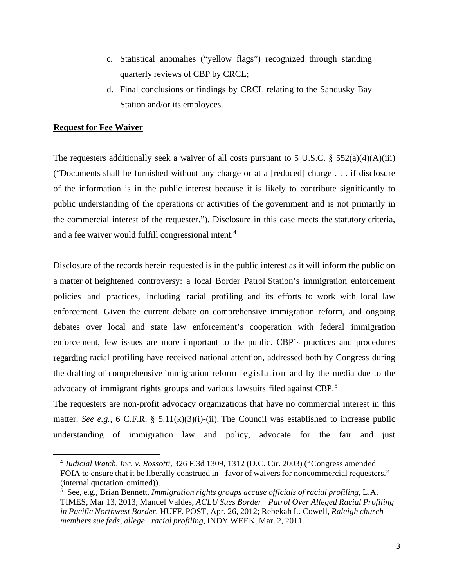- c. Statistical anomalies ("yellow flags") recognized through standing quarterly reviews of CBP by CRCL;
- d. Final conclusions or findings by CRCL relating to the Sandusky Bay Station and/or its employees.

### **Request for Fee Waiver**

The requesters additionally seek a waiver of all costs pursuant to 5 U.S.C. §  $552(a)(4)(A)(iii)$ ("Documents shall be furnished without any charge or at a [reduced] charge . . . if disclosure of the information is in the public interest because it is likely to contribute significantly to public understanding of the operations or activities of the government and is not primarily in the commercial interest of the requester."). Disclosure in this case meets the statutory criteria, and a fee waiver would fulfill congressional intent.<sup>[4](#page-2-0)</sup>

Disclosure of the records herein requested is in the public interest as it will inform the public on a matter of heightened controversy: a local Border Patrol Station's immigration enforcement policies and practices, including racial profiling and its efforts to work with local law enforcement. Given the current debate on comprehensive immigration reform, and ongoing debates over local and state law enforcement's cooperation with federal immigration enforcement, few issues are more important to the public. CBP's practices and procedures regarding racial profiling have received national attention, addressed both by Congress during the drafting of comprehensive immigration reform legislation and by the media due to the advocacy of immigrant rights groups and various lawsuits filed against CBP.[5](#page-2-1)

The requesters are non-profit advocacy organizations that have no commercial interest in this matter. *See e.g.*, 6 C.F.R. § 5.11(k)(3)(i)-(ii). The Council was established to increase public understanding of immigration law and policy, advocate for the fair and just

<span id="page-2-0"></span><sup>4</sup> *Judicial Watch, Inc. v. Rossotti*, 326 F.3d 1309, 1312 (D.C. Cir. 2003) ("Congress amended FOIA to ensure that it be liberally construed in favor of waivers for noncommercial requesters." (internal quotation omitted)).

<span id="page-2-1"></span><sup>5</sup> See, e.g., Brian Bennett, *Immigration rights groups accuse officials of racial profiling*, L.A. TIMES, Mar 13, 2013; Manuel Valdes, *ACLU Sues Border Patrol Over Alleged Racial Profiling in Pacific Northwest Border*, HUFF. POST, Apr. 26, 2012; Rebekah L. Cowell, *Raleigh church members sue feds, allege racial profiling*, INDY WEEK, Mar. 2, 2011.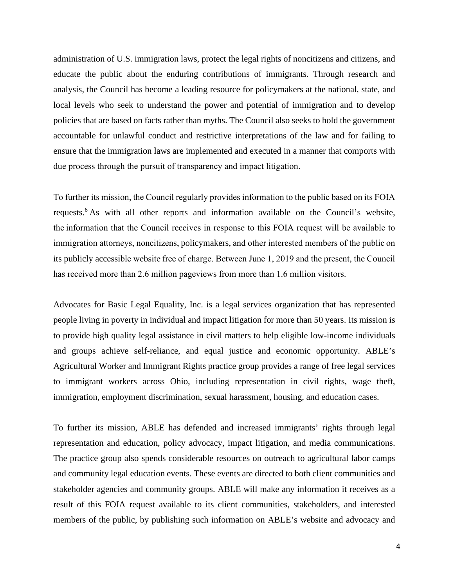administration of U.S. immigration laws, protect the legal rights of noncitizens and citizens, and educate the public about the enduring contributions of immigrants. Through research and analysis, the Council has become a leading resource for policymakers at the national, state, and local levels who seek to understand the power and potential of immigration and to develop policies that are based on facts rather than myths. The Council also seeks to hold the government accountable for unlawful conduct and restrictive interpretations of the law and for failing to ensure that the immigration laws are implemented and executed in a manner that comports with due process through the pursuit of transparency and impact litigation.  

To further its mission, the Council regularly provides information to the public based on its FOIA requests.<sup>6</sup> As with all other reports and information available on the Council's website, the information that the Council receives in response to this FOIA request will be available to immigration attorneys, noncitizens, policymakers, and other interested members of the public on its publicly accessible website free of charge. Between June 1, 2019 and the present, the Council has received more than 2.6 million pageviews from more than 1.6 million visitors.  

Advocates for Basic Legal Equality, Inc. is a legal services organization that has represented people living in poverty in individual and impact litigation for more than 50 years. Its mission is to provide high quality legal assistance in civil matters to help eligible low-income individuals and groups achieve self-reliance, and equal justice and economic opportunity. ABLE's Agricultural Worker and Immigrant Rights practice group provides a range of free legal services to immigrant workers across Ohio, including representation in civil rights, wage theft, immigration, employment discrimination, sexual harassment, housing, and education cases.

To further its mission, ABLE has defended and increased immigrants' rights through legal representation and education, policy advocacy, impact litigation, and media communications. The practice group also spends considerable resources on outreach to agricultural labor camps and community legal education events. These events are directed to both client communities and stakeholder agencies and community groups. ABLE will make any information it receives as a result of this FOIA request available to its client communities, stakeholders, and interested members of the public, by publishing such information on ABLE's website and advocacy and